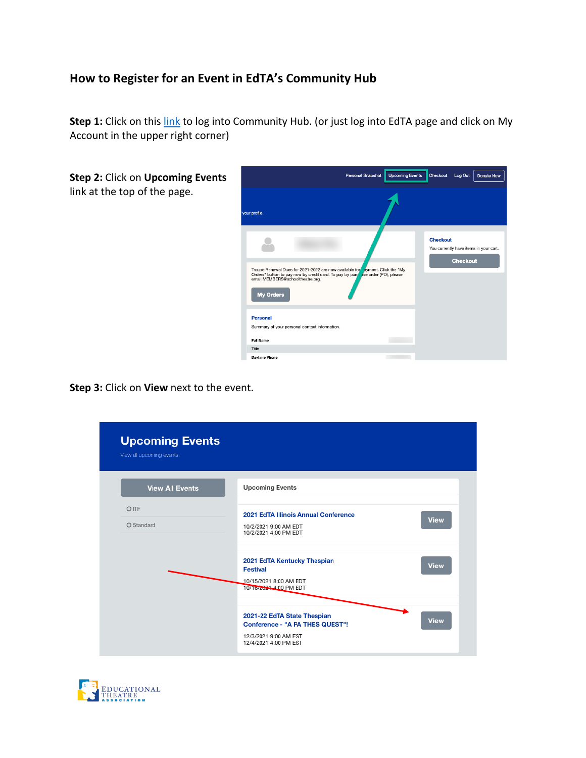## **How to Register for an Event in EdTA's Community Hub**

**Step 1:** Click on this link to log into Community Hub. (or just log into EdTA page and click on My Account in the upper right corner)

| Step 2: Click on Upcoming Events | <b>Upcoming Events</b><br>Personal Snapshot<br>Checkout<br>Log Out<br><b>Donate Now</b>                                                                                                                                  |  |                 |                 |                                        |
|----------------------------------|--------------------------------------------------------------------------------------------------------------------------------------------------------------------------------------------------------------------------|--|-----------------|-----------------|----------------------------------------|
| link at the top of the page.     | your profile.                                                                                                                                                                                                            |  |                 |                 |                                        |
|                                  | Troupe Renewal Dues for 2021-2022 are now available for ayment. Click the "My<br>Orders' button to pay now by credit card. To pay by pure ise order (PO), please<br>email MEMBERS@schooltheatre.org.<br><b>My Orders</b> |  | <b>Checkout</b> | <b>Checkout</b> | You currently have items in your cart. |
|                                  | <b>Personal</b><br>Summary of your personal contact information.<br><b>Full Name</b><br>Title<br><b>Daytime Phone</b>                                                                                                    |  |                 |                 |                                        |

**Step 3:** Click on **View** next to the event.

| <b>Upcoming Events</b><br>View all upcoming events. |                                                                                                                         |             |
|-----------------------------------------------------|-------------------------------------------------------------------------------------------------------------------------|-------------|
| <b>View All Events</b>                              | <b>Upcoming Events</b>                                                                                                  |             |
| O ITF<br>O Standard                                 | 2021 EdTA Illinois Annual Conference<br>10/2/2021 9:00 AM EDT<br>10/2/2021 4:00 PM EDT                                  | <b>View</b> |
|                                                     | 2021 EdTA Kentucky Thespian<br><b>Festival</b><br>10/15/2021 8:00 AM EDT<br>10/16/2001 4:00 PM EDT                      | <b>View</b> |
|                                                     | 2021-22 EdTA State Thespian<br><b>Conference - "A PA THES QUEST"!</b><br>12/3/2021 9:00 AM EST<br>12/4/2021 4:00 PM EST | <b>View</b> |

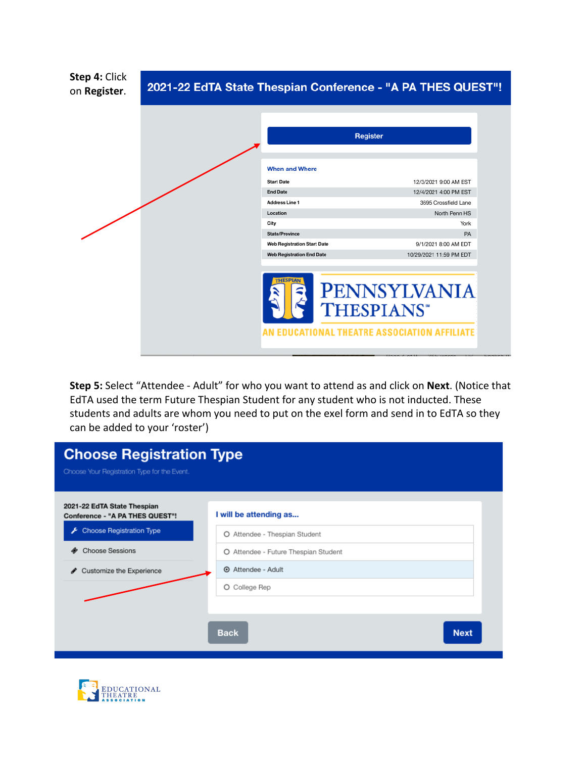| Step 4: Click<br>on Register. | 2021-22 EdTA State Thespian Conference - "A PA THES QUEST"! |                                    |                                                                   |                         |  |
|-------------------------------|-------------------------------------------------------------|------------------------------------|-------------------------------------------------------------------|-------------------------|--|
|                               |                                                             |                                    | <b>Register</b>                                                   |                         |  |
|                               |                                                             | <b>When and Where</b>              |                                                                   |                         |  |
|                               |                                                             | <b>Start Date</b>                  |                                                                   | 12/3/2021 9:00 AM EST   |  |
|                               |                                                             | <b>End Date</b>                    |                                                                   | 12/4/2021 4:00 PM EST   |  |
|                               |                                                             | <b>Address Line 1</b>              |                                                                   | 3695 Crossfield Lane    |  |
|                               |                                                             | Location                           |                                                                   | North Penn HS           |  |
|                               |                                                             | City                               |                                                                   | York                    |  |
|                               |                                                             | State/Province                     |                                                                   | PA                      |  |
|                               |                                                             | <b>Web Registration Start Date</b> |                                                                   | 9/1/2021 8:00 AM EDT    |  |
|                               |                                                             | <b>Web Registration End Date</b>   |                                                                   | 10/29/2021 11:59 PM EDT |  |
|                               |                                                             | <b>THESPIAN</b>                    | <b>THESPIANS*</b><br><b>EDUCATIONAL THEATRE ASSOCIATION AFFIL</b> | <b>PENNSYLVANIA</b>     |  |

**Step 5:** Select "Attendee - Adult" for who you want to attend as and click on **Next**. (Notice that EdTA used the term Future Thespian Student for any student who is not inducted. These students and adults are whom you need to put on the exel form and send in to EdTA so they can be added to your 'roster')

| <b>Choose Registration Type</b><br>Choose Your Registration Type for the Event.                                      |                                                                                                 |             |
|----------------------------------------------------------------------------------------------------------------------|-------------------------------------------------------------------------------------------------|-------------|
| 2021-22 EdTA State Thespian<br>Conference - "A PA THES QUEST"!<br>Choose Registration Type<br><b>Choose Sessions</b> | I will be attending as<br>O Attendee - Thespian Student<br>O Attendee - Future Thespian Student |             |
| Customize the Experience<br>ℐ                                                                                        | Attendee - Adult<br>O College Rep<br><b>Back</b>                                                | <b>Next</b> |
|                                                                                                                      |                                                                                                 |             |

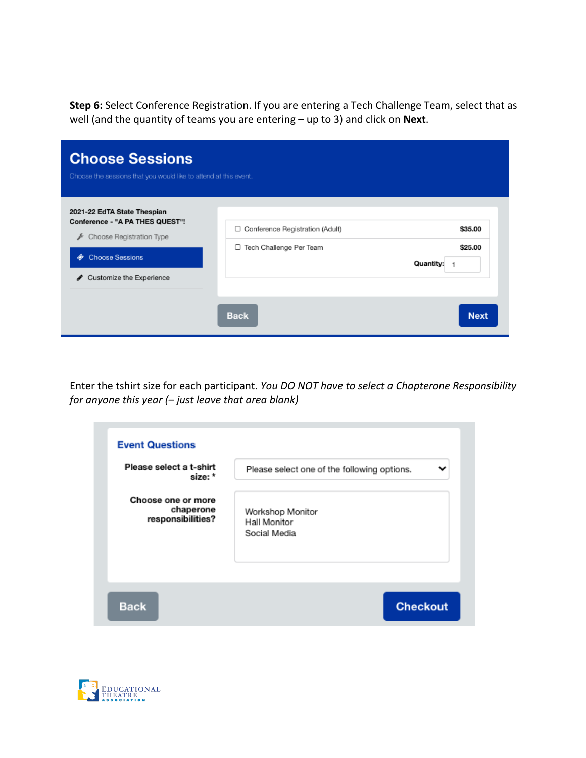**Step 6:** Select Conference Registration. If you are entering a Tech Challenge Team, select that as well (and the quantity of teams you are entering – up to 3) and click on **Next**.

| <b>Choose Sessions</b><br>Choose the sessions that you would like to attend at this event.                                                                 |                                                                                   |                                                     |
|------------------------------------------------------------------------------------------------------------------------------------------------------------|-----------------------------------------------------------------------------------|-----------------------------------------------------|
| 2021-22 EdTA State Thespian<br>Conference - "A PA THES QUEST"!<br>Choose Registration Type<br>≁<br><b>Choose Sessions</b><br>۰<br>Customize the Experience | □ Conference Registration (Adult)<br>Tech Challenge Per Team<br>0.<br><b>Back</b> | \$35.00<br>\$25.00<br>Quantity:<br>1<br><b>Next</b> |

Enter the tshirt size for each participant. *You DO NOT have to select a Chapterone Responsibility for anyone this year (– just leave that area blank)*

| Please select a t-shirt | ັ                                           |
|-------------------------|---------------------------------------------|
| size: *                 | Please select one of the following options. |
| Choose one or more      | Workshop Monitor                            |
| chaperone               | Hall Monitor                                |
| responsibilities?       | Social Media                                |
|                         |                                             |

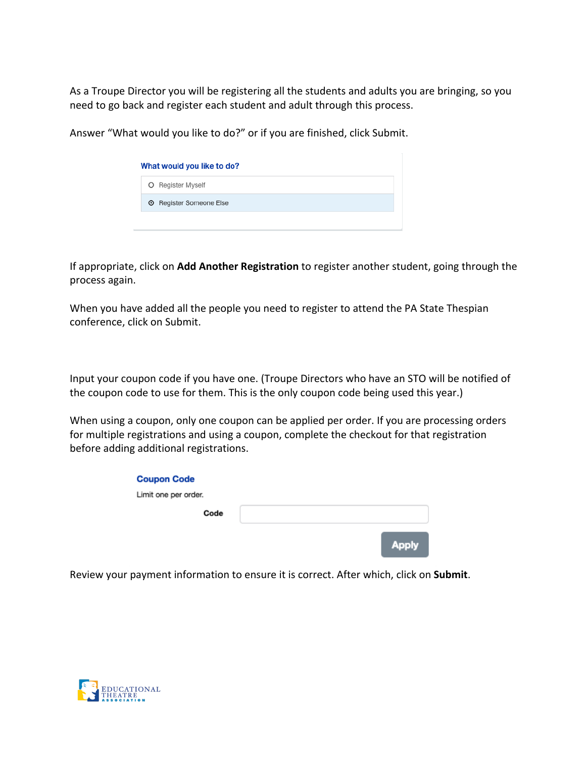As a Troupe Director you will be registering all the students and adults you are bringing, so you need to go back and register each student and adult through this process.

Answer "What would you like to do?" or if you are finished, click Submit.

| What would you like to do?             |
|----------------------------------------|
| O Register Myself                      |
| <b>Example 3</b> Register Someone Else |
|                                        |

If appropriate, click on **Add Another Registration** to register another student, going through the process again.

When you have added all the people you need to register to attend the PA State Thespian conference, click on Submit.

Input your coupon code if you have one. (Troupe Directors who have an STO will be notified of the coupon code to use for them. This is the only coupon code being used this year.)

When using a coupon, only one coupon can be applied per order. If you are processing orders for multiple registrations and using a coupon, complete the checkout for that registration before adding additional registrations.

| <b>Coupon Code</b>   |      |  |              |
|----------------------|------|--|--------------|
| Limit one per order. |      |  |              |
|                      | Code |  |              |
|                      |      |  | <b>Apply</b> |

Review your payment information to ensure it is correct. After which, click on **Submit**.

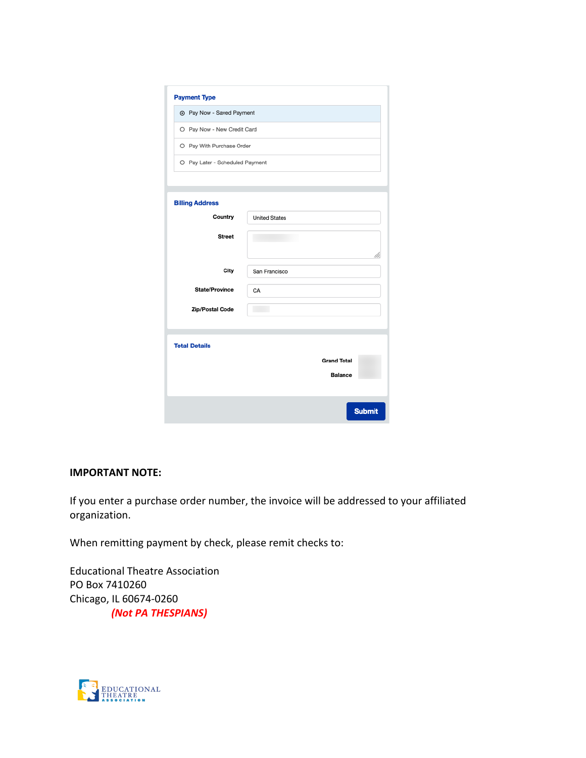| <b>Payment Type</b>             |                      |
|---------------------------------|----------------------|
| Tey Now - Saved Payment         |                      |
| O Pay Now - New Credit Card     |                      |
| O Pay With Purchase Order       |                      |
| O Pay Later - Scheduled Payment |                      |
|                                 |                      |
| <b>Billing Address</b>          |                      |
| Country                         | <b>United States</b> |
| <b>Street</b>                   |                      |
|                                 |                      |
| City                            | San Francisco        |
| <b>State/Province</b>           | CA                   |
| Zip/Postal Code                 |                      |
|                                 |                      |
| <b>Total Details</b>            |                      |
|                                 | <b>Grand Total</b>   |
|                                 | <b>Balance</b>       |
|                                 |                      |
|                                 | <b>Submit</b>        |

## **IMPORTANT NOTE:**

If you enter a purchase order number, the invoice will be addressed to your affiliated organization.

When remitting payment by check, please remit checks to:

Educational Theatre Association PO Box 7410260 Chicago, IL 60674-0260  *(Not PA THESPIANS)*